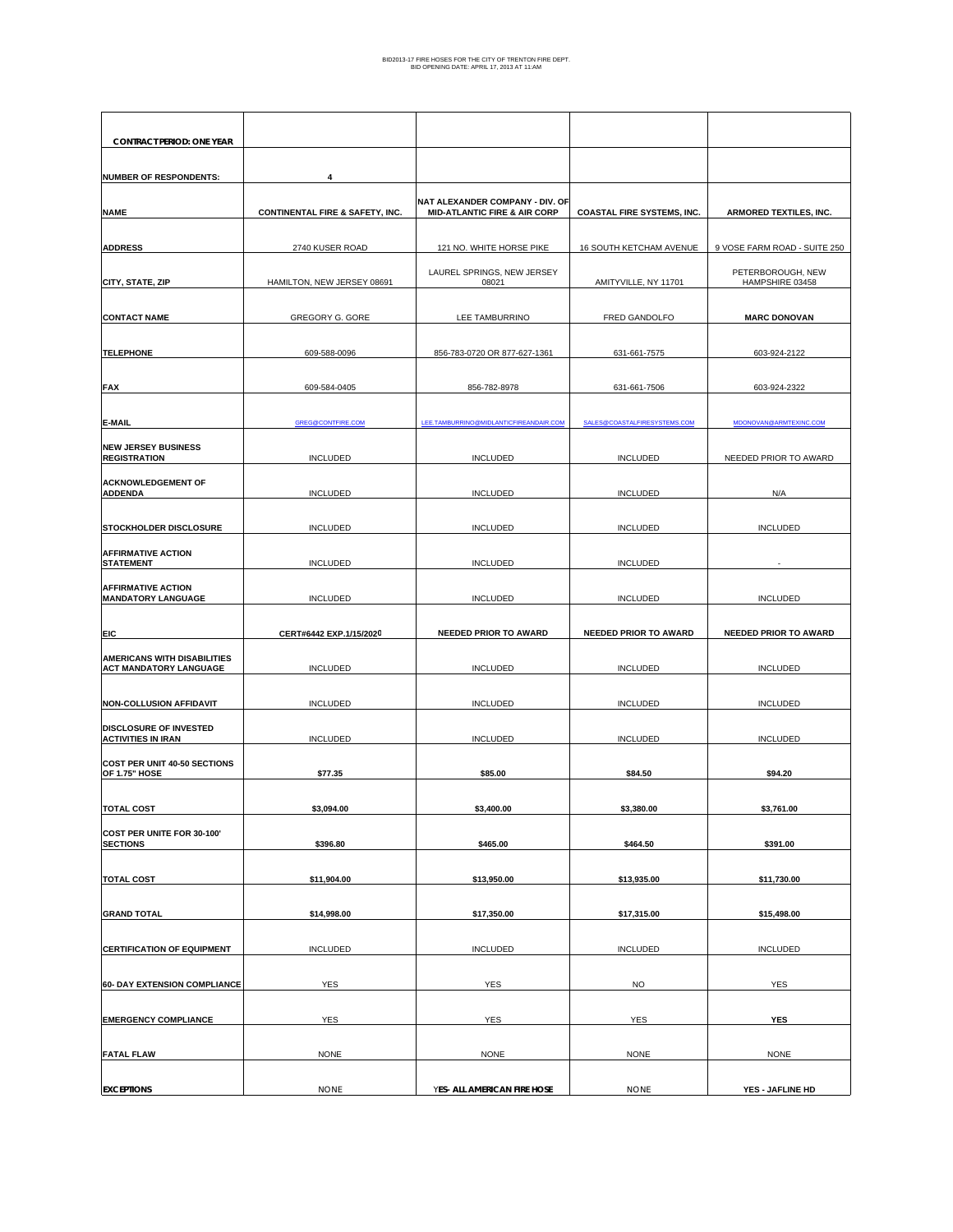| <b>CONTRACT PERIOD: ONE YEAR</b>                                    |                                            |                                                                            |                                   |                                      |
|---------------------------------------------------------------------|--------------------------------------------|----------------------------------------------------------------------------|-----------------------------------|--------------------------------------|
| <b>NUMBER OF RESPONDENTS:</b>                                       | 4                                          |                                                                            |                                   |                                      |
| <b>NAME</b>                                                         | <b>CONTINENTAL FIRE &amp; SAFETY, INC.</b> | NAT ALEXANDER COMPANY - DIV. OF<br><b>MID-ATLANTIC FIRE &amp; AIR CORP</b> | <b>COASTAL FIRE SYSTEMS, INC.</b> | ARMORED TEXTILES, INC.               |
| <b>ADDRESS</b>                                                      | 2740 KUSER ROAD                            | 121 NO. WHITE HORSE PIKE                                                   | 16 SOUTH KETCHAM AVENUE           | 9 VOSE FARM ROAD - SUITE 250         |
| CITY, STATE, ZIP                                                    | HAMILTON, NEW JERSEY 08691                 | LAUREL SPRINGS, NEW JERSEY<br>08021                                        | AMITYVILLE, NY 11701              | PETERBOROUGH, NEW<br>HAMPSHIRE 03458 |
| <b>CONTACT NAME</b>                                                 | GREGORY G. GORE                            | LEE TAMBURRINO                                                             | FRED GANDOLFO                     | <b>MARC DONOVAN</b>                  |
| <b>TELEPHONE</b>                                                    | 609-588-0096                               | 856-783-0720 OR 877-627-1361                                               | 631-661-7575                      | 603-924-2122                         |
| <b>FAX</b>                                                          | 609-584-0405                               | 856-782-8978                                                               | 631-661-7506                      | 603-924-2322                         |
| <b>E-MAIL</b>                                                       | GREG@CONTFIRE.COM                          | LEE.TAMBURRINO@MIDLANTICFIREANDAIR.COM                                     | SALES@COASTALFIRESYSTEMS.COM      | MDONOVAN@ARMTEXINC.COM               |
| <b>NEW JERSEY BUSINESS</b><br><b>REGISTRATION</b>                   | <b>INCLUDED</b>                            | <b>INCLUDED</b>                                                            | <b>INCLUDED</b>                   | NEEDED PRIOR TO AWARD                |
| <b>ACKNOWLEDGEMENT OF</b><br><b>ADDENDA</b>                         | <b>INCLUDED</b>                            | <b>INCLUDED</b>                                                            | <b>INCLUDED</b>                   | N/A                                  |
| <b>STOCKHOLDER DISCLOSURE</b>                                       | <b>INCLUDED</b>                            | <b>INCLUDED</b>                                                            | <b>INCLUDED</b>                   | <b>INCLUDED</b>                      |
| <b>AFFIRMATIVE ACTION</b><br><b>STATEMENT</b>                       | <b>INCLUDED</b>                            | <b>INCLUDED</b>                                                            | <b>INCLUDED</b>                   |                                      |
| <b>AFFIRMATIVE ACTION</b>                                           |                                            |                                                                            |                                   |                                      |
| <b>MANDATORY LANGUAGE</b>                                           | <b>INCLUDED</b>                            | <b>INCLUDED</b>                                                            | <b>INCLUDED</b>                   | INCLUDED                             |
| EIC                                                                 | CERT#6442 EXP.1/15/2020                    | <b>NEEDED PRIOR TO AWARD</b>                                               | <b>NEEDED PRIOR TO AWARD</b>      | <b>NEEDED PRIOR TO AWARD</b>         |
| <b>AMERICANS WITH DISABILITIES</b><br><b>ACT MANDATORY LANGUAGE</b> | <b>INCLUDED</b>                            | <b>INCLUDED</b>                                                            | <b>INCLUDED</b>                   | <b>INCLUDED</b>                      |
| <b>NON-COLLUSION AFFIDAVIT</b>                                      | <b>INCLUDED</b>                            | <b>INCLUDED</b>                                                            | <b>INCLUDED</b>                   | <b>INCLUDED</b>                      |
| <b>DISCLOSURE OF INVESTED</b><br><b>ACTIVITIES IN IRAN</b>          | <b>INCLUDED</b>                            | <b>INCLUDED</b>                                                            | <b>INCLUDED</b>                   | <b>INCLUDED</b>                      |
| COST PER UNIT 40-50 SECTIONS                                        |                                            |                                                                            |                                   |                                      |
| OF 1.75" HOSE                                                       | \$77.35                                    | \$85.00                                                                    | \$84.50                           | \$94.20                              |
| <b>TOTAL COST</b>                                                   | \$3,094.00                                 | \$3,400.00                                                                 | \$3,380.00                        | \$3,761.00                           |
| COST PER UNITE FOR 30-100'<br><b>SECTIONS</b>                       | \$396.80                                   | \$465.00                                                                   | \$464.50                          | \$391.00                             |
| <b>TOTAL COST</b>                                                   | \$11,904.00                                | \$13,950.00                                                                | \$13,935.00                       | \$11,730.00                          |
| <b>GRAND TOTAL</b>                                                  | \$14,998.00                                | \$17,350.00                                                                | \$17,315.00                       | \$15,498.00                          |
| <b>CERTIFICATION OF EQUIPMENT</b>                                   | <b>INCLUDED</b>                            | <b>INCLUDED</b>                                                            | <b>INCLUDED</b>                   | <b>INCLUDED</b>                      |
| <b>60- DAY EXTENSION COMPLIANCE</b>                                 | <b>YES</b>                                 | <b>YES</b>                                                                 | <b>NO</b>                         | <b>YES</b>                           |
| <b>EMERGENCY COMPLIANCE</b>                                         | <b>YES</b>                                 | YES                                                                        | YES                               | <b>YES</b>                           |
| <b>FATAL FLAW</b>                                                   | <b>NONE</b>                                | <b>NONE</b>                                                                | <b>NONE</b>                       | <b>NONE</b>                          |
| <b>EXCEPTIONS</b>                                                   | <b>NONE</b>                                | YES- ALL AMERICAN FIRE HOSE                                                | <b>NONE</b>                       | YES - JAFLINE HD                     |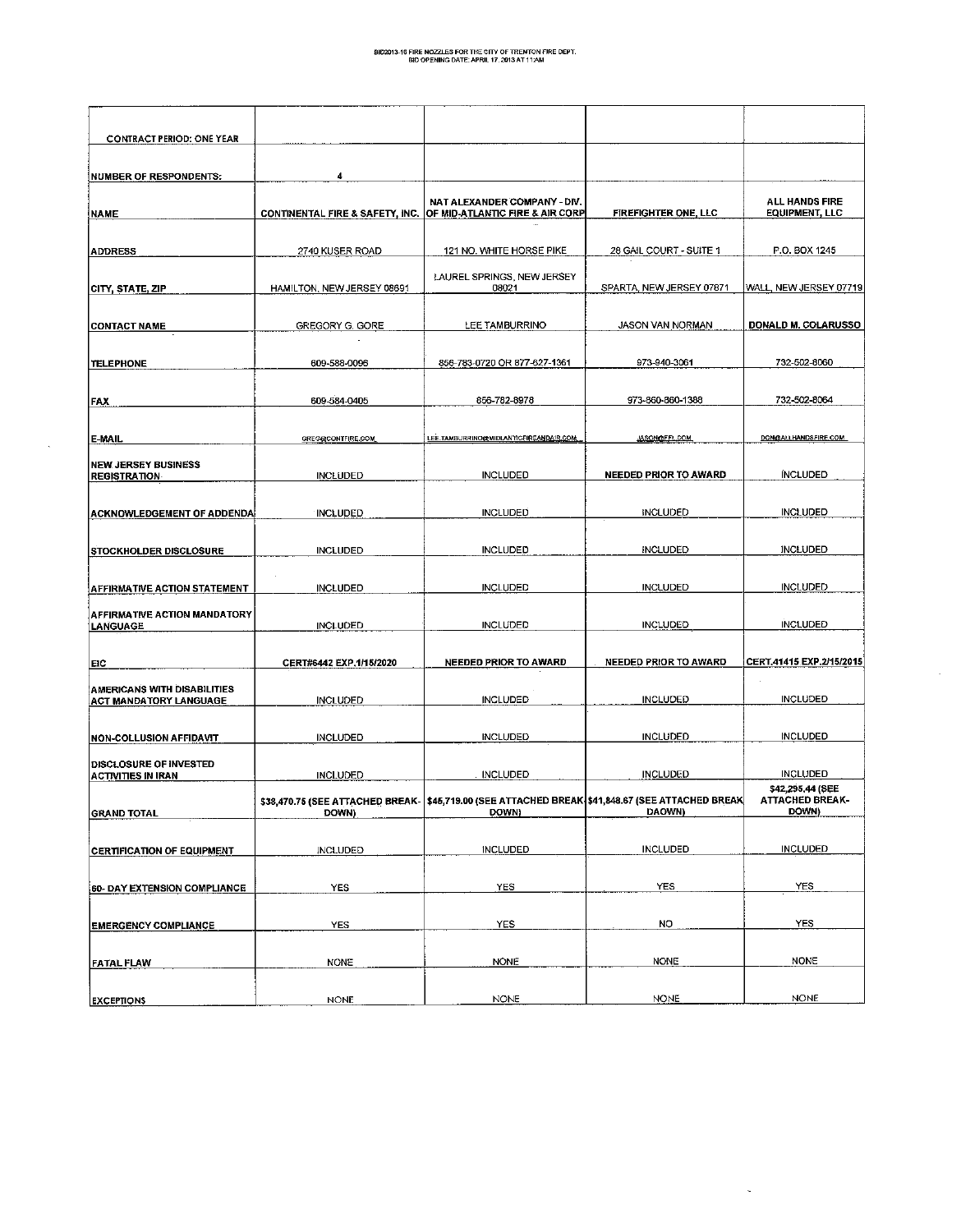| <b>CONTRACT PERIOD: ONE YEAR</b>                             |                                                                                                               |                                               |                              |                                                     |
|--------------------------------------------------------------|---------------------------------------------------------------------------------------------------------------|-----------------------------------------------|------------------------------|-----------------------------------------------------|
| <b>NUMBER OF RESPONDENTS:</b>                                | 4                                                                                                             |                                               |                              |                                                     |
| <b>NAME</b>                                                  | CONTINENTAL FIRE & SAFETY, INC. OF MID-ATLANTIC FIRE & AIR CORP                                               | NAT ALEXANDER COMPANY - DIV.                  | FIREFIGHTER ONE, LLC         | <b>ALL HANDS FIRE</b><br><b>EQUIPMENT, LLC</b>      |
| <b>ADDRESS</b>                                               | 2740 KUSER ROAD                                                                                               | 121 NO. WHITE HORSE PIKE                      | 28 GAIL COURT - SUITE 1      | P.O. BOX 1245                                       |
| CITY, STATE, ZIP                                             | HAMILTON, NEW JERSEY 08691                                                                                    | LAUREL SPRINGS, NEW JERSEY<br>08021           | SPARTA, NEW JERSEY 07871     | WALL, NEW JERSEY 07719                              |
| <b>CONTACT NAME</b>                                          | GREGORY G. GORE                                                                                               | LEE TAMBURRINO                                | JASON VAN NORMAN             | DONALD M. COLARUSSO                                 |
| <b>TELEPHONE</b>                                             | 609-588-0096                                                                                                  | 856-783-0720 OR 877-627-1361                  | 973-940-3061                 | 732-502-8060                                        |
| FAX                                                          | 609-584-0405                                                                                                  | 856-782-8978                                  | 973-860-860-1388             | 732-502-8064                                        |
| E MAIL                                                       | GREG@CONTFIRE.COM                                                                                             | <u>LEE.TAMBURRINO@MIDLANTICFIREANDAIR.COM</u> | <b>JASONQEFL.COM</b>         | DON@ALLHANDSFIRE.COM                                |
| <b>NEW JERSEY BUSINESS</b><br><b>REGISTRATION</b>            | <b>INCLUDED</b>                                                                                               | <b>INCLUDED</b>                               | <b>NEEDED PRIOR TO AWARD</b> | <b>INCLUDED</b>                                     |
| <b>ACKNOWLEDGEMENT OF ADDENDA</b>                            | <b>INCLUDED</b>                                                                                               | <b>INCLUDED</b>                               | <b>INCLUDED</b>              | <b>INCLUDED</b>                                     |
| STOCKHOLDER DISCLOSURE                                       | <b>INCLUDED</b>                                                                                               | <b>INCLUDED</b>                               | <b>INCLUDED</b>              | <b>INCLUDED</b>                                     |
| <b>AFFIRMATIVE ACTION STATEMENT</b>                          | <b>INCLUDED</b>                                                                                               | <b>INCLUDED</b>                               | <b>INCLUDED</b>              | <b>INCLUDED</b>                                     |
| <b>AFFIRMATIVE ACTION MANDATORY</b><br>LANGUAGE              | <b>INCLUDED</b>                                                                                               | <b>INCLUDED</b>                               | <b>INCLUDED</b>              | <b>INCLUDED</b>                                     |
| EIC                                                          | CERT#6442 EXP.1/15/2020                                                                                       | NEEDED PRIOR TO AWARD                         | NEEDED PRIOR TO AWARD        | CERT.41415 EXP.2/15/2015                            |
| AMERICANS WITH DISABILITIES<br><b>ACT MANDATORY LANGUAGE</b> | <b>INCLUDED</b>                                                                                               | <b>INCLUDED</b>                               | <b>INCLUDED</b>              | <b>INCLUDED</b>                                     |
| NON-COLLUSION AFFIDAVIT                                      | <b>INCLUDED</b>                                                                                               | <b>INCLUDED</b>                               | <b>INCLUDED</b>              | <b>INCLUDED</b>                                     |
| <b>DISCLOSURE OF INVESTED</b><br><b>ACTIVITIES IN IRAN</b>   | INCLUDED                                                                                                      | <b>INCLUDED</b>                               | <b>INCLUDED</b>              | <b>INCLUDED</b>                                     |
| <b>GRAND TOTAL</b>                                           | \$38,470.75 (SEE ATTACHED BREAK-   \$45,719.00 (SEE ATTACHED BREAK   \$41,848.67 (SEE ATTACHED BREAK<br>DOWN) | DOWN)                                         | <b>DAOWN</b>                 | \$42,295,44 (SEE<br><b>ATTACHED BREAK-</b><br>DOWN) |
| <b>CERTIFICATION OF EQUIPMENT</b>                            | <b>INCLUDED</b>                                                                                               | <b>INCLUDED</b>                               | <b>INCLUDED</b>              | <b>INCLUDED</b>                                     |
| <b>60- DAY EXTENSION COMPLIANCE</b>                          | <b>YES</b>                                                                                                    | YES                                           | <b>YES</b>                   | YES                                                 |
| <b>EMERGENCY COMPLIANCE</b>                                  | <b>YES</b>                                                                                                    | YES                                           | <b>NO</b>                    | YES                                                 |
| <b>FATAL FLAW</b>                                            | <b>NONE</b>                                                                                                   | <b>NONE</b>                                   | <b>NONE</b>                  | <b>NONE</b>                                         |
| <b>EXCEPTIONS</b>                                            | <b>NONE</b>                                                                                                   | <b>NONE</b>                                   | <b>NONE</b>                  | <b>NONE</b>                                         |
|                                                              |                                                                                                               |                                               |                              |                                                     |

 $\mathcal{A}^{\mathcal{A}}$ 

 $\mathcal{A}^{\mathcal{A}}$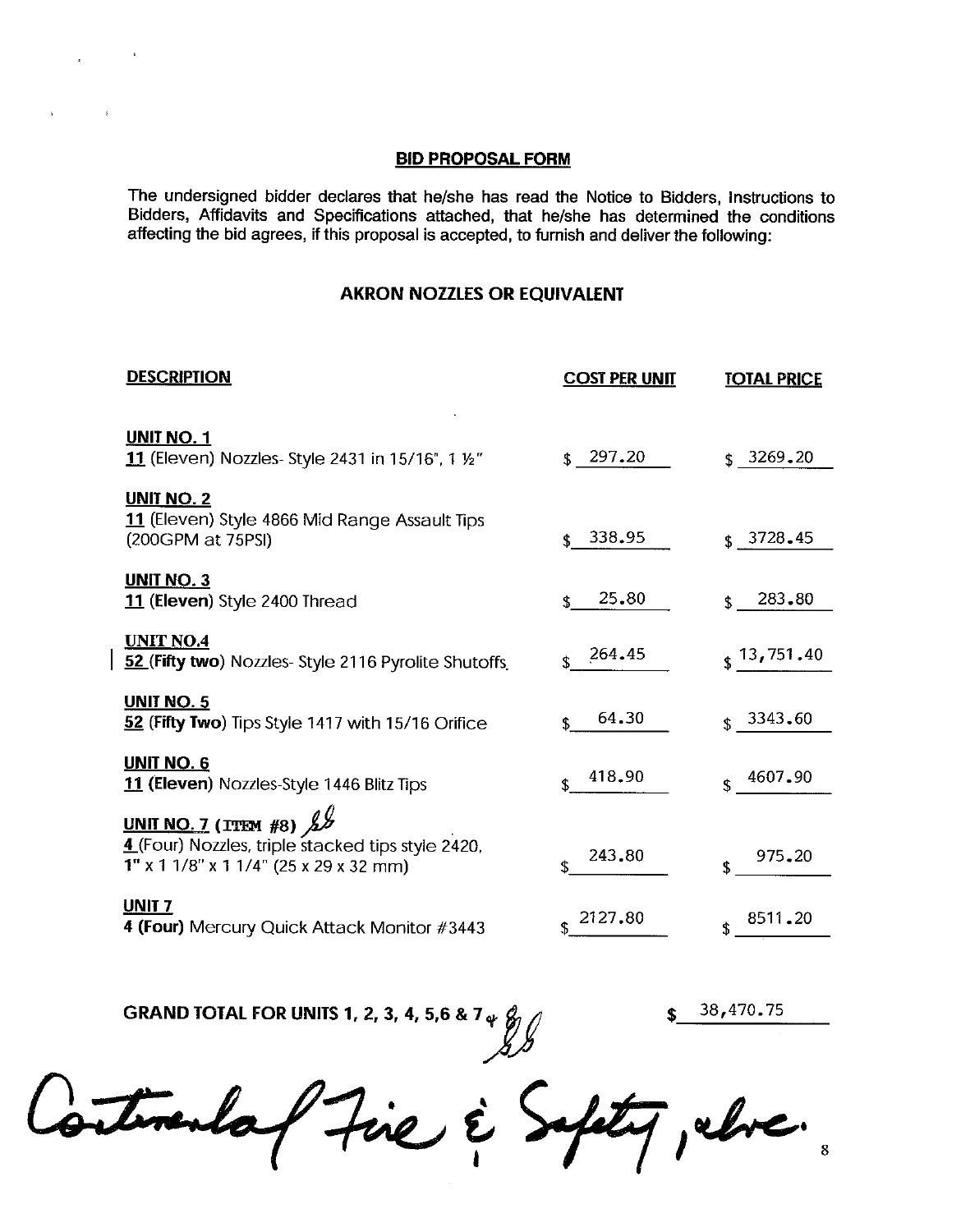The undersigned bidder declares that he/she has read the Notice to Bidders, Instructions to Bidders, Affidavits and Specifications attached, that he/she has determined the conditions affecting the bid agrees, if this proposal is accepted, to furnish and deliver the following:

## **AKRON NOZZLES OR EQUIVALENT**

| <b>DESCRIPTION</b>                                                                             | <b>COST PER UNIT</b> | <b>TOTAL PRICE</b>     |
|------------------------------------------------------------------------------------------------|----------------------|------------------------|
| <b>UNIT NO. 1</b><br>11 (Eleven) Nozzles- Style 2431 in 15/16", 1 1/2"                         | 297.20               | \$3269.20              |
| <b>UNIT NO. 2</b><br>11 (Eleven) Style 4866 Mid Range Assault Tips                             |                      |                        |
| (200GPM at 75PSI)<br><b>UNIT NO. 3</b>                                                         | 338.95<br>\$         | 3728.45<br>\$.         |
| 11 (Eleven) Style 2400 Thread<br><b>UNIT NO.4</b>                                              | 25.80                | 283.80<br>\$.          |
| 52 (Fifty two) Nozzles-Style 2116 Pyrolite Shutoffs<br><b>UNIT NO. 5</b>                       | 264.45               | $\frac{1}{3}$ , 751.40 |
| 52 (Fifty Two) Tips Style 1417 with 15/16 Orifice<br><b>UNIT NO. 6</b>                         | 64.30<br>418.90      | 3343.60<br>ፋ           |
| 11 (Eleven) Nozzles-Style 1446 Blitz Tips<br><u>UNIT NO. 7</u> (ITEM #8) $\frac{1}{2}$         |                      | 4607.90<br>\$.         |
| 4 (Four) Nozzles, triple stacked tips style 2420,<br>$1''$ x 1 1/8" x 1 1/4" (25 x 29 x 32 mm) | 243.80               | 975.20<br>\$           |
| <b>UNIT 7</b><br>4 (Four) Mercury Quick Attack Monitor #3443                                   | 2127.80              | 8511.20<br>\$          |

**GRAND TOTAL FOR UNITS 1, 2, 3, 4, 5,6 & 7**  $\frac{1}{9}$ 

 $\overline{\phantom{a}}$ 

38,470.75

Stevendaf fire à Supty, when 8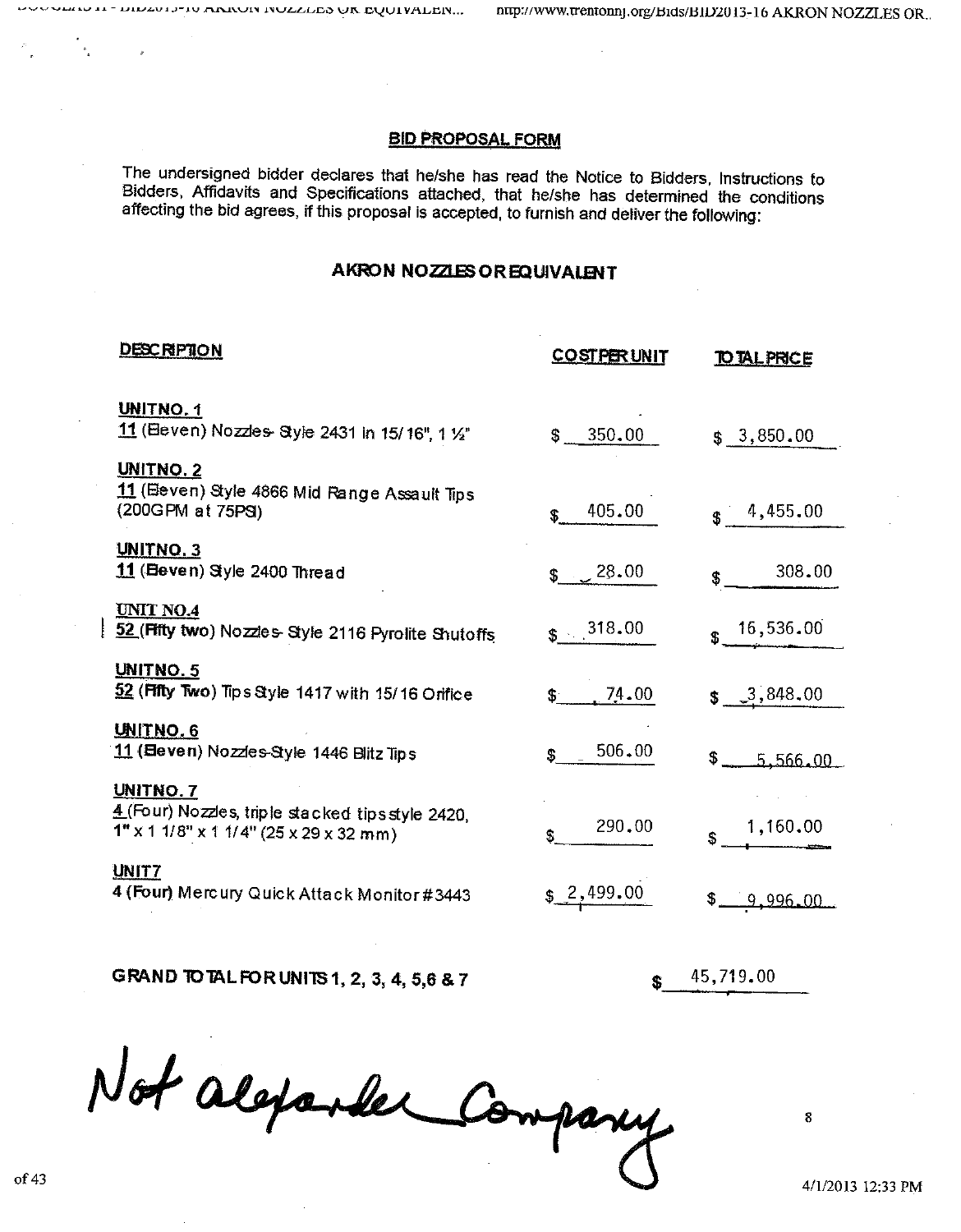The undersigned bidder declares that he/she has read the Notice to Bidders, Instructions to Bidders, Affidavits and Specifications attached, that he/she has determined the conditions affecting the bid agrees, if this proposal is accepted, to furnish and deliver the following:

# AKRON NOZZLES OR EQUIVALENT

| <b>DESCRPTION</b>                                                                                          | <b>COSTPER UNIT</b>  | <b>TO TAL PRICE</b>         |
|------------------------------------------------------------------------------------------------------------|----------------------|-----------------------------|
| <b>UNITNO.1</b><br>11 (Beven) Nozzles Style 2431 in 15/16", 1 $\frac{1}{2}$ "                              | \$350.00             | \$3,850.00                  |
| UNITNO. 2<br>11 (Beven) Style 4866 Mid Range Assault Tips<br>(200GPM at 75PS)                              | 405.00<br>\$.        | $\frac{1}{3}$ 4,455.00      |
| UNITNO <sub>3</sub><br>11 (Beven) Syle 2400 Thread                                                         | $\frac{28.00}{ }$    | 308.00<br>\$                |
| <b>UNIT NO.4</b><br>52 (Fifty two) Nozzles Style 2116 Pyrolite Shutoffs                                    | $\frac{1}{2}$ 318.00 | $\frac{16,536.00}{16}$      |
| UNITNO.5<br>52 (Fifty Two) Tips Style 1417 with 15/16 Orifice                                              | 74.00<br>\$          | $\frac{3}{2}$ , 848.00      |
| UNITNO.6<br>11 (Eleven) Nozzles-Style 1446 Blitz Tips                                                      | 506.00<br>ፍ          | $$$ $-$<br>5.566.00         |
| UNITNO. 7<br>4 (Four) Nozzles, triple stacked tips style 2420,<br>$1"$ x 1 1/8" x 1 1/4" (25 x 29 x 32 mm) | 290.00<br>\$         | $\frac{1,160.00}{\sqrt{2}}$ |
| UNIT7<br>4 (Four) Mercury Quick Attack Monitor #3443                                                       | \$2,499.00           | 9,996.00                    |

GRAND TO TAL FOR UNITS 1, 2, 3, 4, 5,6 & 7

45,719.00

Not alexander Company

8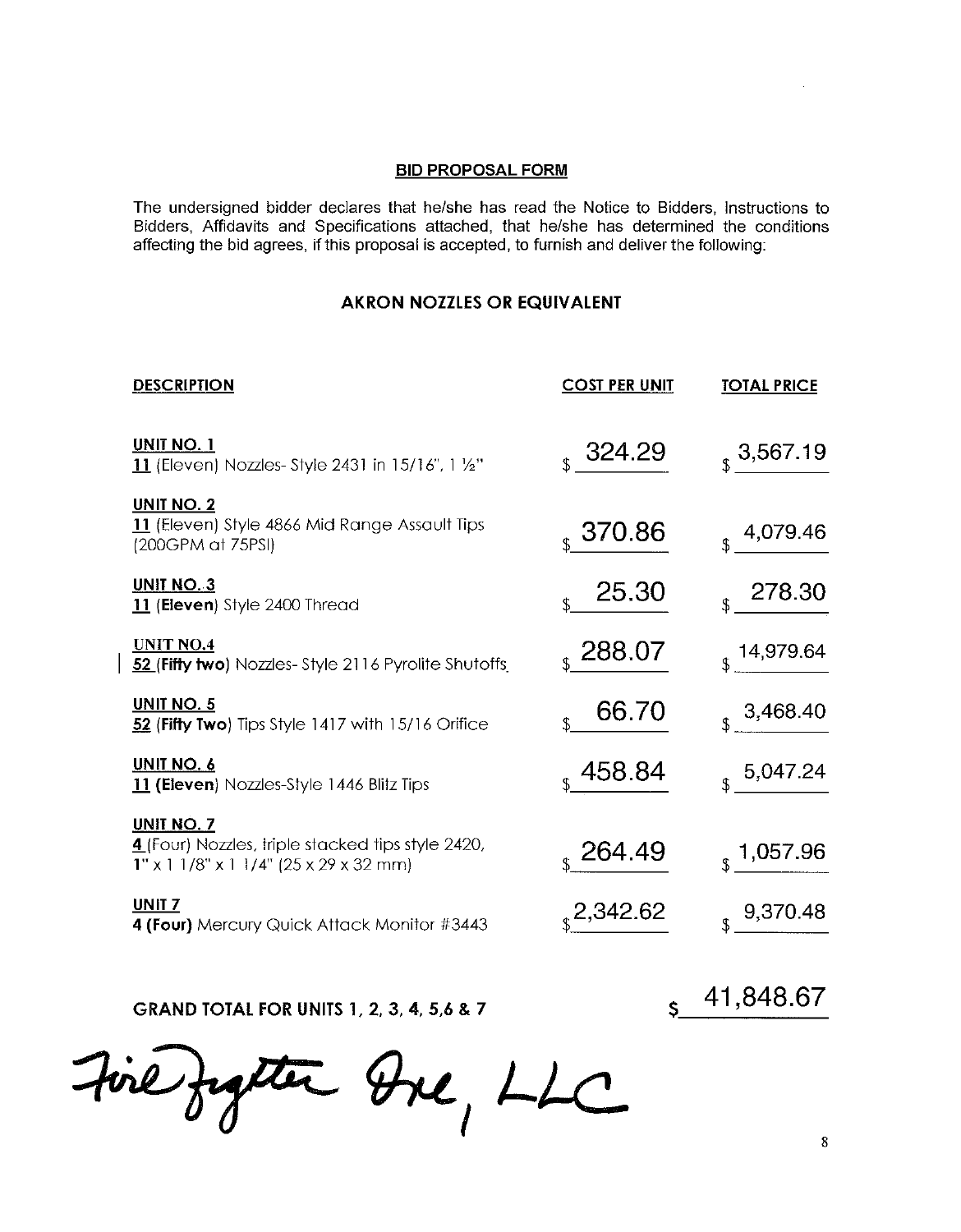The undersigned bidder declares that he/she has read the Notice to Bidders, Instructions to Bidders, Affidavits and Specifications attached, that he/she has determined the conditions affecting the bid agrees, if this proposal is accepted, to furnish and deliver the following:

## **AKRON NOZZLES OR EQUIVALENT**

| <b>DESCRIPTION</b>                                                                                                            | <b>COST PER UNIT</b>         | <b>TOTAL PRICE</b>                          |
|-------------------------------------------------------------------------------------------------------------------------------|------------------------------|---------------------------------------------|
| <b>UNIT NO. 1</b><br>11 (Eleven) Nozzles-Style 2431 in 15/16", 1 1/2"                                                         | $_{{\tiny \text{S}}}$ 324.29 | $_{\tiny{\text{\textregistered}}}$ 3,567.19 |
| <b>UNIT NO. 2</b><br>11 (Eleven) Style 4866 Mid Range Assault Tips<br>$(200GPM$ at 75PSI)                                     | $_{s}$ 370.86                | $\frac{4,079.46}{9}$                        |
| <b>UNIT NO. 3</b><br>11 (Eleven) Style 2400 Thread                                                                            | 25.30                        | 278.30                                      |
| <b>UNIT NO.4</b><br>52 (Fifty two) Nozzles-Style 2116 Pyrolite Shutoffs                                                       | $_{\rm s}$ 288.07            | $3^{14,979.64}$                             |
| UNIT NO. 5<br>52 (Fifty Two) Tips Style 1417 with 15/16 Orifice                                                               | 66.70                        | 3,468.40                                    |
| <b>UNIT NO. 6</b><br>11 (Eleven) Nozzles-Style 1446 Blitz Tips                                                                | $_$ 458.84                   | 5,047.24                                    |
| <b>UNIT NO. 7</b><br>4 (Four) Nozzles, triple stacked tips style 2420,<br>$1'' \times 11/8'' \times 11/4''$ (25 x 29 x 32 mm) | $_{\rm s}$ 264.49            | $_3$ 1,057.96                               |
| UNIT <sub>7</sub><br>4 (Four) Mercury Quick Attack Monitor #3443                                                              | 2,342.62                     | 9,370.48                                    |

**GRAND TOTAL FOR UNITS 1, 2, 3, 4, 5,6 & 7** 

 $\frac{41,848.67}{5}$ 

Fire Juster One, LLC